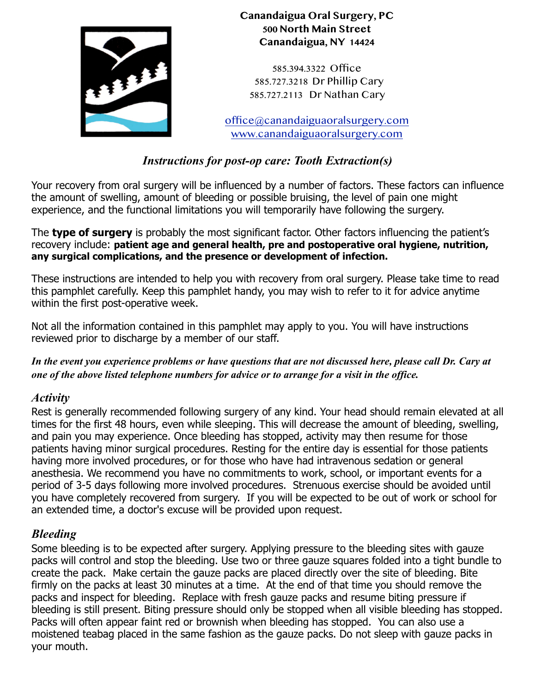

**Canandaigua Oral Surgery, PC 500 North Main Street Canandaigua, NY 14424** 

585.394.3322 Office 585.727.3218 Dr Phillip Cary 585.727.2113 Dr Nathan Cary

[office@canandaiguaoralsurgery.com](mailto:office@canandaiguaoralsurgery.com) [www.canandaiguaoralsurgery.com](http://www.canandaiguaoralsurgery.com)

# *Instructions for post-op care: Tooth Extraction(s)*

Your recovery from oral surgery will be influenced by a number of factors. These factors can influence the amount of swelling, amount of bleeding or possible bruising, the level of pain one might experience, and the functional limitations you will temporarily have following the surgery.

The **type of surgery** is probably the most significant factor. Other factors influencing the patient's recovery include: **patient age and general health, pre and postoperative oral hygiene, nutrition, any surgical complications, and the presence or development of infection.**

These instructions are intended to help you with recovery from oral surgery. Please take time to read this pamphlet carefully. Keep this pamphlet handy, you may wish to refer to it for advice anytime within the first post-operative week.

Not all the information contained in this pamphlet may apply to you. You will have instructions reviewed prior to discharge by a member of our staff.

*In the event you experience problems or have questions that are not discussed here, please call Dr. Cary at one of the above listed telephone numbers for advice or to arrange for a visit in the office.* 

## *Activity*

Rest is generally recommended following surgery of any kind. Your head should remain elevated at all times for the first 48 hours, even while sleeping. This will decrease the amount of bleeding, swelling, and pain you may experience. Once bleeding has stopped, activity may then resume for those patients having minor surgical procedures. Resting for the entire day is essential for those patients having more involved procedures, or for those who have had intravenous sedation or general anesthesia. We recommend you have no commitments to work, school, or important events for a period of 3-5 days following more involved procedures. Strenuous exercise should be avoided until you have completely recovered from surgery. If you will be expected to be out of work or school for an extended time, a doctor's excuse will be provided upon request.

## *Bleeding*

Some bleeding is to be expected after surgery. Applying pressure to the bleeding sites with gauze packs will control and stop the bleeding. Use two or three gauze squares folded into a tight bundle to create the pack. Make certain the gauze packs are placed directly over the site of bleeding. Bite firmly on the packs at least 30 minutes at a time. At the end of that time you should remove the packs and inspect for bleeding. Replace with fresh gauze packs and resume biting pressure if bleeding is still present. Biting pressure should only be stopped when all visible bleeding has stopped. Packs will often appear faint red or brownish when bleeding has stopped. You can also use a moistened teabag placed in the same fashion as the gauze packs. Do not sleep with gauze packs in your mouth.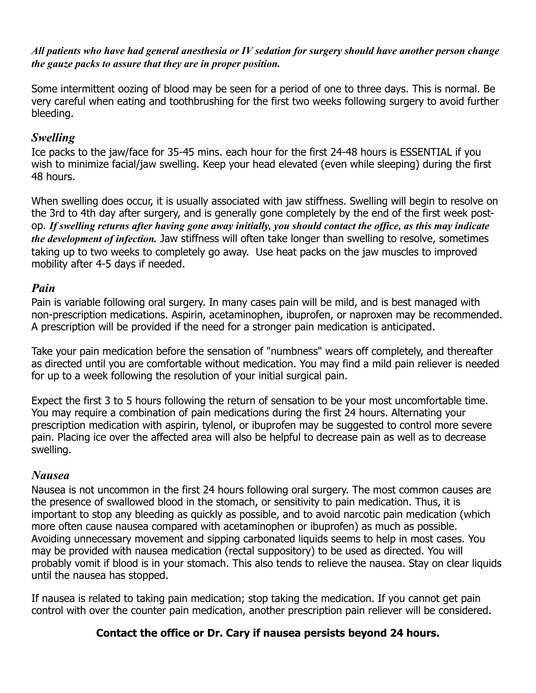*All patients who have had general anesthesia or IV sedation for surgery should have another person change the gauze packs to assure that they are in proper position.*

Some intermittent oozing of blood may be seen for a period of one to three days. This is normal. Be very careful when eating and toothbrushing for the first two weeks following surgery to avoid further bleeding.

# *Swelling*

Ice packs to the jaw/face for 35-45 mins. each hour for the first 24-48 hours is ESSENTIAL if you wish to minimize facial/jaw swelling. Keep your head elevated (even while sleeping) during the first 48 hours.

When swelling does occur, it is usually associated with jaw stiffness. Swelling will begin to resolve on the 3rd to 4th day after surgery, and is generally gone completely by the end of the first week postop. *If swelling returns after having gone away initially, you should contact the office, as this may indicate the development of infection.* Jaw stiffness will often take longer than swelling to resolve, sometimes taking up to two weeks to completely go away. Use heat packs on the jaw muscles to improved mobility after 4-5 days if needed.

# *Pain*

Pain is variable following oral surgery. In many cases pain will be mild, and is best managed with non-prescription medications. Aspirin, acetaminophen, ibuprofen, or naproxen may be recommended. A prescription will be provided if the need for a stronger pain medication is anticipated.

Take your pain medication before the sensation of "numbness" wears off completely, and thereafter as directed until you are comfortable without medication. You may find a mild pain reliever is needed for up to a week following the resolution of your initial surgical pain.

Expect the first 3 to 5 hours following the return of sensation to be your most uncomfortable time. You may require a combination of pain medications during the first 24 hours. Alternating your prescription medication with aspirin, tylenol, or ibuprofen may be suggested to control more severe pain. Placing ice over the affected area will also be helpful to decrease pain as well as to decrease swelling.

## *Nausea*

Nausea is not uncommon in the first 24 hours following oral surgery. The most common causes are the presence of swallowed blood in the stomach, or sensitivity to pain medication. Thus, it is important to stop any bleeding as quickly as possible, and to avoid narcotic pain medication (which more often cause nausea compared with acetaminophen or ibuprofen) as much as possible. Avoiding unnecessary movement and sipping carbonated liquids seems to help in most cases. You may be provided with nausea medication (rectal suppository) to be used as directed. You will probably vomit if blood is in your stomach. This also tends to relieve the nausea. Stay on clear liquids until the nausea has stopped.

If nausea is related to taking pain medication; stop taking the medication. If you cannot get pain control with over the counter pain medication, another prescription pain reliever will be considered.

# **Contact the office or Dr. Cary if nausea persists beyond 24 hours.**